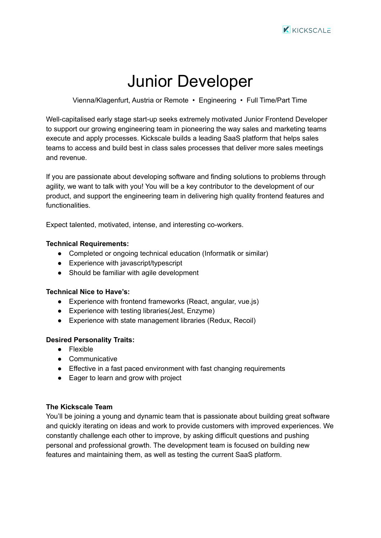# Junior Developer

Vienna/Klagenfurt, Austria or Remote • Engineering • Full Time/Part Time

Well-capitalised early stage start-up seeks extremely motivated Junior Frontend Developer to support our growing engineering team in pioneering the way sales and marketing teams execute and apply processes. Kickscale builds a leading SaaS platform that helps sales teams to access and build best in class sales processes that deliver more sales meetings and revenue.

If you are passionate about developing software and finding solutions to problems through agility, we want to talk with you! You will be a key contributor to the development of our product, and support the engineering team in delivering high quality frontend features and functionalities.

Expect talented, motivated, intense, and interesting co-workers.

## **Technical Requirements:**

- Completed or ongoing technical education (Informatik or similar)
- Experience with javascript/typescript
- Should be familiar with agile development

### **Technical Nice to Have's:**

- Experience with frontend frameworks (React, angular, vue.js)
- Experience with testing libraries(Jest, Enzyme)
- Experience with state management libraries (Redux, Recoil)

### **Desired Personality Traits:**

- Flexible
- Communicative
- Effective in a fast paced environment with fast changing requirements
- Eager to learn and grow with project

### **The Kickscale Team**

You'll be joining a young and dynamic team that is passionate about building great software and quickly iterating on ideas and work to provide customers with improved experiences. We constantly challenge each other to improve, by asking difficult questions and pushing personal and professional growth. The development team is focused on building new features and maintaining them, as well as testing the current SaaS platform.